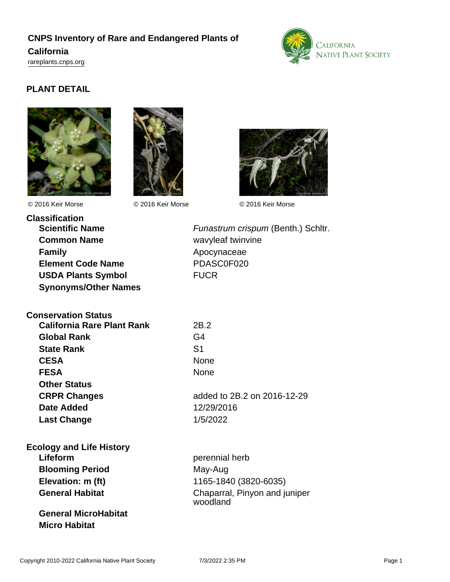# **CNPS Inventory of Rare and Endangered Plants of California**

<rareplants.cnps.org>



## **PLANT DETAIL**







© 2016 Keir Morse © 2016 Keir Morse © 2016 Keir Morse

**Classification Common Name** wavyleaf twinvine **Family Apocynaceae Element Code Name** PDASC0F020 **USDA Plants Symbol** FUCR **Synonyms/Other Names**

**Scientific Name** Funastrum crispum (Benth.) Schltr.

**Conservation Status California Rare Plant Rank** 2B.2 **Global Rank** G4 **State Rank** S1 **CESA** None FESA None **Other Status Date Added** 12/29/2016

**CRPR Changes** added to 2B.2 on 2016-12-29 **Last Change** 1/5/2022

**Ecology and Life History Lifeform perennial herb Blooming Period** May-Aug **Elevation: m (ft)** 1165-1840 (3820-6035)

**General MicroHabitat Micro Habitat**

**General Habitat** Chaparral, Pinyon and juniper woodland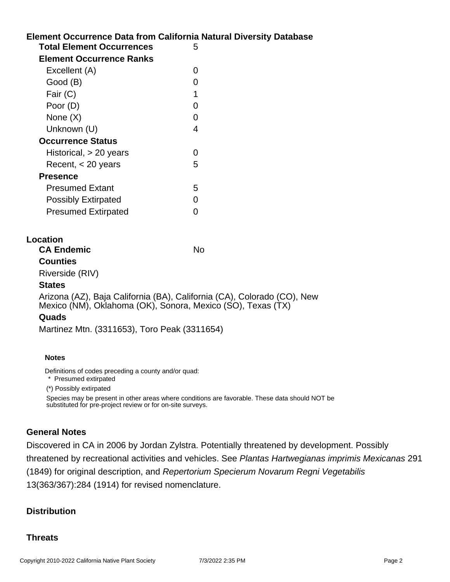## **Element Occurrence Data from California Natural Diversity Database Total Element Occurrences** 5 **Element Occurrence Ranks** Excellent (A) 0 Good (B) and the control of the control of the control of the control of the control of the control of the control of the control of the control of the control of the control of the control of the control of the control of Fair  $(C)$  1 Poor (D) 0 None  $(X)$  0 Unknown (U) 4

| _ _ _                      |                   |
|----------------------------|-------------------|
| <b>Occurrence Status</b>   |                   |
| Historical, $> 20$ years   | $\mathbf{\Omega}$ |
| Recent, $<$ 20 years       | 5                 |
| <b>Presence</b>            |                   |
| <b>Presumed Extant</b>     | 5                 |
| <b>Possibly Extirpated</b> | ∩                 |
| <b>Presumed Extirpated</b> |                   |

## **Location**

**CA Endemic** No

**Counties** Riverside (RIV)

#### **States**

Arizona (AZ), Baja California (BA), California (CA), Colorado (CO), New Mexico (NM), Oklahoma (OK), Sonora, Mexico (SO), Texas (TX)

## **Quads**

Martinez Mtn. (3311653), Toro Peak (3311654)

#### **Notes**

Definitions of codes preceding a county and/or quad:

\* Presumed extirpated

(\*) Possibly extirpated

Species may be present in other areas where conditions are favorable. These data should NOT be substituted for pre-project review or for on-site surveys.

## **General Notes**

Discovered in CA in 2006 by Jordan Zylstra. Potentially threatened by development. Possibly threatened by recreational activities and vehicles. See Plantas Hartwegianas imprimis Mexicanas 291 (1849) for original description, and Repertorium Specierum Novarum Regni Vegetabilis 13(363/367):284 (1914) for revised nomenclature.

## **Distribution**

## **Threats**